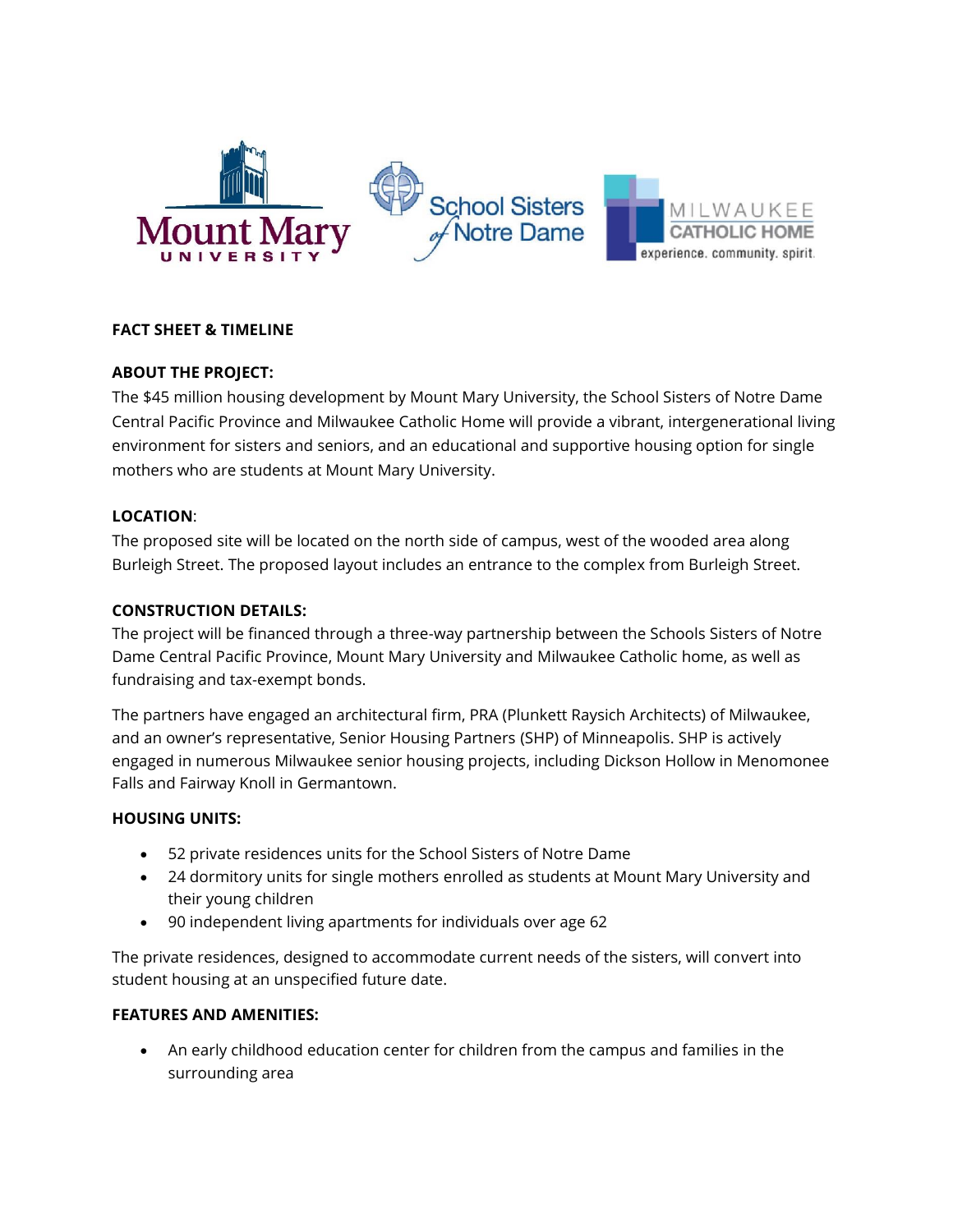

# **FACT SHEET & TIMELINE**

## **ABOUT THE PROJECT:**

The \$45 million housing development by Mount Mary University, the School Sisters of Notre Dame Central Pacific Province and Milwaukee Catholic Home will provide a vibrant, intergenerational living environment for sisters and seniors, and an educational and supportive housing option for single mothers who are students at Mount Mary University.

## **LOCATION**:

The proposed site will be located on the north side of campus, west of the wooded area along Burleigh Street. The proposed layout includes an entrance to the complex from Burleigh Street.

## **CONSTRUCTION DETAILS:**

The project will be financed through a three-way partnership between the Schools Sisters of Notre Dame Central Pacific Province, Mount Mary University and Milwaukee Catholic home, as well as fundraising and tax-exempt bonds.

The partners have engaged an architectural firm, PRA (Plunkett Raysich Architects) of Milwaukee, and an owner's representative, Senior Housing Partners (SHP) of Minneapolis. SHP is actively engaged in numerous Milwaukee senior housing projects, including Dickson Hollow in Menomonee Falls and Fairway Knoll in Germantown.

## **HOUSING UNITS:**

- 52 private residences units for the School Sisters of Notre Dame
- 24 dormitory units for single mothers enrolled as students at Mount Mary University and their young children
- 90 independent living apartments for individuals over age 62

The private residences, designed to accommodate current needs of the sisters, will convert into student housing at an unspecified future date.

## **FEATURES AND AMENITIES:**

 An early childhood education center for children from the campus and families in the surrounding area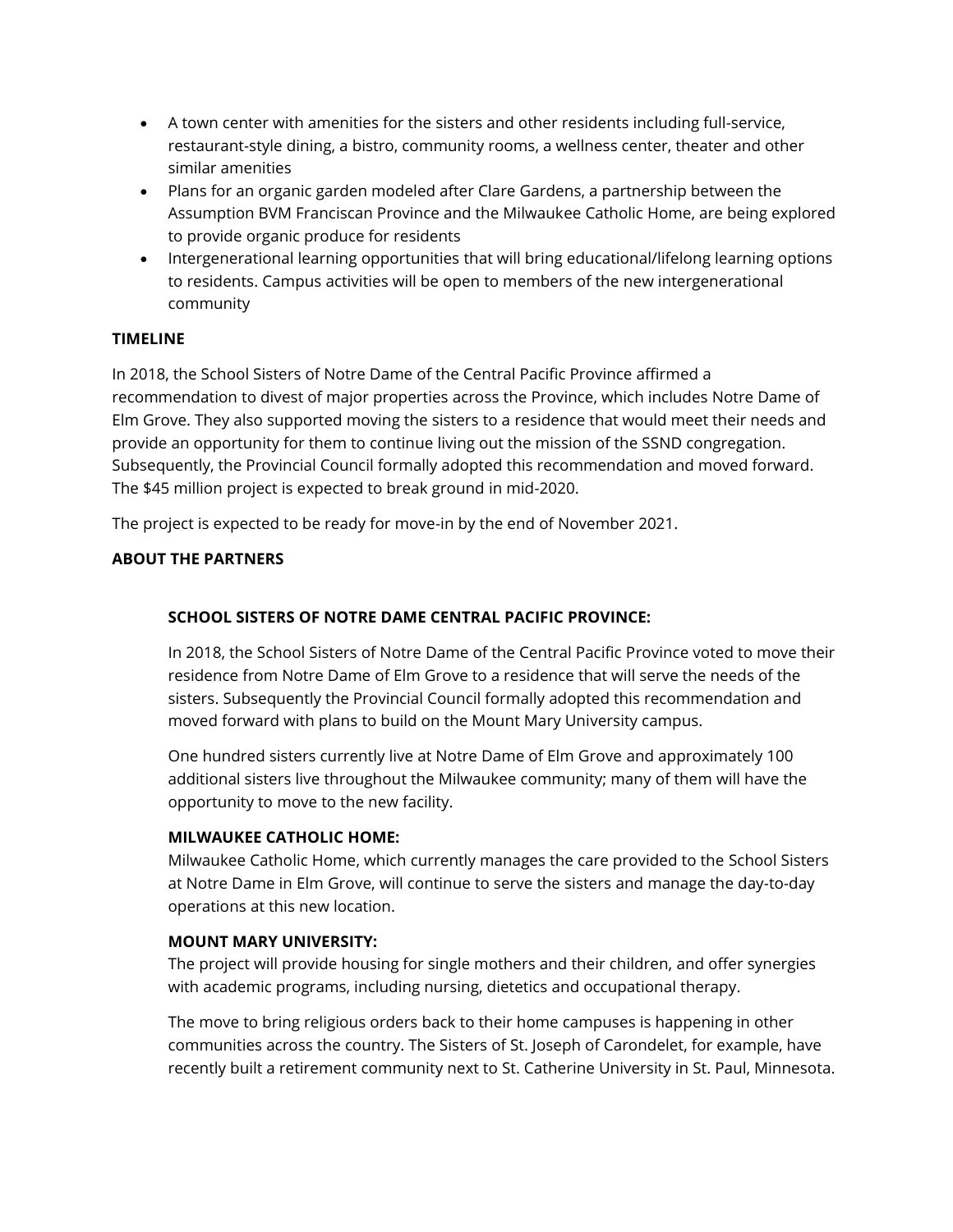- A town center with amenities for the sisters and other residents including full-service, restaurant-style dining, a bistro, community rooms, a wellness center, theater and other similar amenities
- Plans for an organic garden modeled after Clare Gardens, a partnership between the Assumption BVM Franciscan Province and the Milwaukee Catholic Home, are being explored to provide organic produce for residents
- Intergenerational learning opportunities that will bring educational/lifelong learning options to residents. Campus activities will be open to members of the new intergenerational community

# **TIMELINE**

In 2018, the School Sisters of Notre Dame of the Central Pacific Province affirmed a recommendation to divest of major properties across the Province, which includes Notre Dame of Elm Grove. They also supported moving the sisters to a residence that would meet their needs and provide an opportunity for them to continue living out the mission of the SSND congregation. Subsequently, the Provincial Council formally adopted this recommendation and moved forward. The \$45 million project is expected to break ground in mid-2020.

The project is expected to be ready for move-in by the end of November 2021.

# **ABOUT THE PARTNERS**

# **SCHOOL SISTERS OF NOTRE DAME CENTRAL PACIFIC PROVINCE:**

In 2018, the School Sisters of Notre Dame of the Central Pacific Province voted to move their residence from Notre Dame of Elm Grove to a residence that will serve the needs of the sisters. Subsequently the Provincial Council formally adopted this recommendation and moved forward with plans to build on the Mount Mary University campus.

One hundred sisters currently live at Notre Dame of Elm Grove and approximately 100 additional sisters live throughout the Milwaukee community; many of them will have the opportunity to move to the new facility.

## **MILWAUKEE CATHOLIC HOME:**

Milwaukee Catholic Home, which currently manages the care provided to the School Sisters at Notre Dame in Elm Grove, will continue to serve the sisters and manage the day-to-day operations at this new location.

## **MOUNT MARY UNIVERSITY:**

The project will provide housing for single mothers and their children, and offer synergies with academic programs, including nursing, dietetics and occupational therapy.

The move to bring religious orders back to their home campuses is happening in other communities across the country. The Sisters of St. Joseph of Carondelet, for example, have recently built a retirement community next to St. Catherine University in St. Paul, Minnesota.